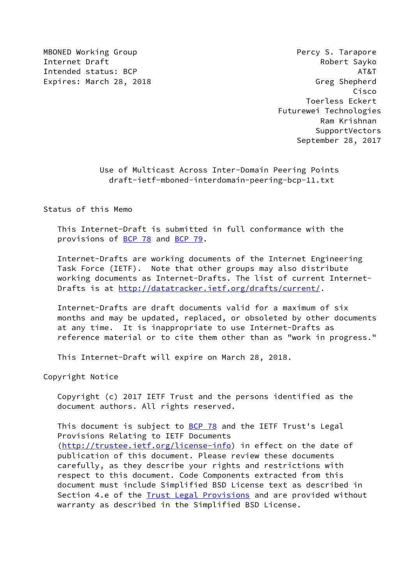MBONED Working Group **Percy S. Tarapore** Internet Draft **Robert Sayko** Intended status: BCP AT&T Expires: March 28, 2018 Greg Shepherd

 Cisco Toerless Eckert Futurewei Technologies Ram Krishnan SupportVectors September 28, 2017

> Use of Multicast Across Inter-Domain Peering Points draft-ietf-mboned-interdomain-peering-bcp-11.txt

Status of this Memo

 This Internet-Draft is submitted in full conformance with the provisions of [BCP 78](https://datatracker.ietf.org/doc/pdf/bcp78) and [BCP 79](https://datatracker.ietf.org/doc/pdf/bcp79).

 Internet-Drafts are working documents of the Internet Engineering Task Force (IETF). Note that other groups may also distribute working documents as Internet-Drafts. The list of current Internet- Drafts is at<http://datatracker.ietf.org/drafts/current/>.

 Internet-Drafts are draft documents valid for a maximum of six months and may be updated, replaced, or obsoleted by other documents at any time. It is inappropriate to use Internet-Drafts as reference material or to cite them other than as "work in progress."

This Internet-Draft will expire on March 28, 2018.

Copyright Notice

 Copyright (c) 2017 IETF Trust and the persons identified as the document authors. All rights reserved.

This document is subject to [BCP 78](https://datatracker.ietf.org/doc/pdf/bcp78) and the IETF Trust's Legal Provisions Relating to IETF Documents [\(http://trustee.ietf.org/license-info](http://trustee.ietf.org/license-info)) in effect on the date of publication of this document. Please review these documents carefully, as they describe your rights and restrictions with respect to this document. Code Components extracted from this document must include Simplified BSD License text as described in Section 4.e of the **[Trust Legal Provisions](https://trustee.ietf.org/license-info)** and are provided without warranty as described in the Simplified BSD License.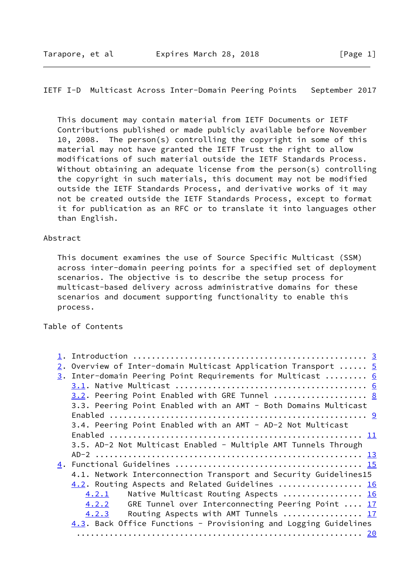This document may contain material from IETF Documents or IETF Contributions published or made publicly available before November 10, 2008. The person(s) controlling the copyright in some of this material may not have granted the IETF Trust the right to allow modifications of such material outside the IETF Standards Process. Without obtaining an adequate license from the person(s) controlling the copyright in such materials, this document may not be modified outside the IETF Standards Process, and derivative works of it may not be created outside the IETF Standards Process, except to format it for publication as an RFC or to translate it into languages other than English.

### Abstract

 This document examines the use of Source Specific Multicast (SSM) across inter-domain peering points for a specified set of deployment scenarios. The objective is to describe the setup process for multicast-based delivery across administrative domains for these scenarios and document supporting functionality to enable this process.

Table of Contents

| 2. Overview of Inter-domain Multicast Application Transport $5$  |
|------------------------------------------------------------------|
| 3. Inter-domain Peering Point Requirements for Multicast  6      |
|                                                                  |
| 3.2. Peering Point Enabled with GRE Tunnel  8                    |
| 3.3. Peering Point Enabled with an AMT - Both Domains Multicast  |
|                                                                  |
| 3.4. Peering Point Enabled with an AMT - AD-2 Not Multicast      |
|                                                                  |
| 3.5. AD-2 Not Multicast Enabled - Multiple AMT Tunnels Through   |
|                                                                  |
|                                                                  |
| 4.1. Network Interconnection Transport and Security Guidelines15 |
| 4.2. Routing Aspects and Related Guidelines  16                  |
| Native Multicast Routing Aspects  16<br>4.2.1                    |
| GRE Tunnel over Interconnecting Peering Point  17<br>4.2.2       |
| Routing Aspects with AMT Tunnels  17<br>4.2.3                    |
| 4.3. Back Office Functions - Provisioning and Logging Guidelines |
|                                                                  |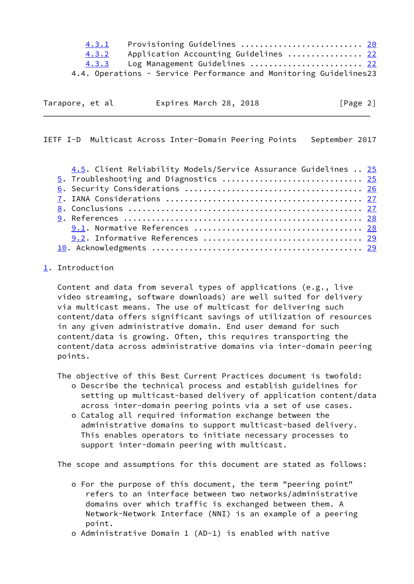| 4.3.1 | Provisioning Guidelines <u>20</u>                                 |  |
|-------|-------------------------------------------------------------------|--|
| 4.3.2 | Application Accounting Guidelines  22                             |  |
| 4.3.3 | Log Management Guidelines  22                                     |  |
|       | 4.4. Operations - Service Performance and Monitoring Guidelines23 |  |

<span id="page-2-1"></span>

| Tarapore, et al |  | Expires March 28, 2018 | [Page 2] |
|-----------------|--|------------------------|----------|
|                 |  |                        |          |

| 4.5. Client Reliability Models/Service Assurance Guidelines  25 |
|-----------------------------------------------------------------|
| 5. Troubleshooting and Diagnostics  25                          |
|                                                                 |
|                                                                 |
|                                                                 |
|                                                                 |
|                                                                 |
|                                                                 |
|                                                                 |

# <span id="page-2-0"></span>[1](#page-2-0). Introduction

 Content and data from several types of applications (e.g., live video streaming, software downloads) are well suited for delivery via multicast means. The use of multicast for delivering such content/data offers significant savings of utilization of resources in any given administrative domain. End user demand for such content/data is growing. Often, this requires transporting the content/data across administrative domains via inter-domain peering points.

The objective of this Best Current Practices document is twofold:

- o Describe the technical process and establish guidelines for setting up multicast-based delivery of application content/data across inter-domain peering points via a set of use cases.
- o Catalog all required information exchange between the administrative domains to support multicast-based delivery. This enables operators to initiate necessary processes to support inter-domain peering with multicast.

The scope and assumptions for this document are stated as follows:

- o For the purpose of this document, the term "peering point" refers to an interface between two networks/administrative domains over which traffic is exchanged between them. A Network-Network Interface (NNI) is an example of a peering point.
- o Administrative Domain 1 (AD-1) is enabled with native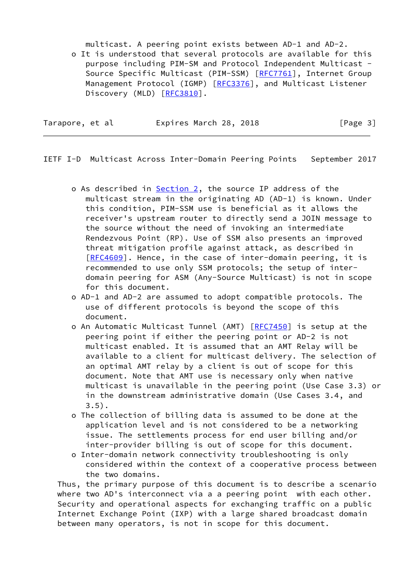multicast. A peering point exists between AD-1 and AD-2. o It is understood that several protocols are available for this purpose including PIM-SM and Protocol Independent Multicast - Source Specific Multicast (PIM-SSM) [[RFC7761](https://datatracker.ietf.org/doc/pdf/rfc7761)], Internet Group Management Protocol (IGMP) [\[RFC3376](https://datatracker.ietf.org/doc/pdf/rfc3376)], and Multicast Listener Discovery (MLD) [[RFC3810](https://datatracker.ietf.org/doc/pdf/rfc3810)].

| Tarapore, et al |  | Expires March 28, 2018 |  | [Page 3] |  |
|-----------------|--|------------------------|--|----------|--|
|                 |  |                        |  |          |  |

IETF I-D Multicast Across Inter-Domain Peering Points September 2017

- o As described in [Section 2](#page-4-0), the source IP address of the multicast stream in the originating AD (AD-1) is known. Under this condition, PIM-SSM use is beneficial as it allows the receiver's upstream router to directly send a JOIN message to the source without the need of invoking an intermediate Rendezvous Point (RP). Use of SSM also presents an improved threat mitigation profile against attack, as described in [[RFC4609](https://datatracker.ietf.org/doc/pdf/rfc4609)]. Hence, in the case of inter-domain peering, it is recommended to use only SSM protocols; the setup of inter domain peering for ASM (Any-Source Multicast) is not in scope for this document.
- o AD-1 and AD-2 are assumed to adopt compatible protocols. The use of different protocols is beyond the scope of this document.
- o An Automatic Multicast Tunnel (AMT) [\[RFC7450](https://datatracker.ietf.org/doc/pdf/rfc7450)] is setup at the peering point if either the peering point or AD-2 is not multicast enabled. It is assumed that an AMT Relay will be available to a client for multicast delivery. The selection of an optimal AMT relay by a client is out of scope for this document. Note that AMT use is necessary only when native multicast is unavailable in the peering point (Use Case 3.3) or in the downstream administrative domain (Use Cases 3.4, and  $3.5$ ).
- o The collection of billing data is assumed to be done at the application level and is not considered to be a networking issue. The settlements process for end user billing and/or inter-provider billing is out of scope for this document.
- o Inter-domain network connectivity troubleshooting is only considered within the context of a cooperative process between the two domains.

 Thus, the primary purpose of this document is to describe a scenario where two AD's interconnect via a a peering point with each other. Security and operational aspects for exchanging traffic on a public Internet Exchange Point (IXP) with a large shared broadcast domain between many operators, is not in scope for this document.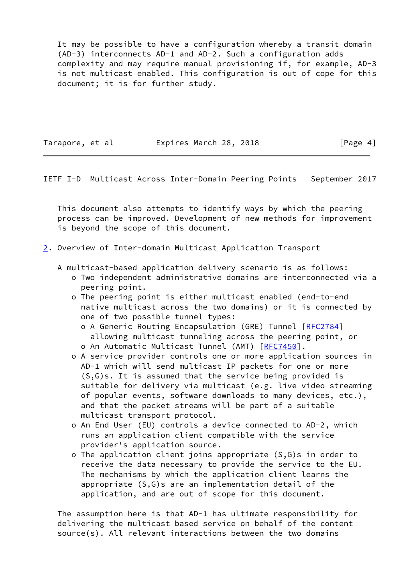It may be possible to have a configuration whereby a transit domain (AD-3) interconnects AD-1 and AD-2. Such a configuration adds complexity and may require manual provisioning if, for example, AD-3 is not multicast enabled. This configuration is out of cope for this document; it is for further study.

Tarapore, et al expires March 28, 2018 [Page 4]

<span id="page-4-1"></span>IETF I-D Multicast Across Inter-Domain Peering Points September 2017

 This document also attempts to identify ways by which the peering process can be improved. Development of new methods for improvement is beyond the scope of this document.

- <span id="page-4-0"></span>[2](#page-4-0). Overview of Inter-domain Multicast Application Transport
	- A multicast-based application delivery scenario is as follows:
		- o Two independent administrative domains are interconnected via a peering point.
		- o The peering point is either multicast enabled (end-to-end native multicast across the two domains) or it is connected by one of two possible tunnel types:
			- o A Generic Routing Encapsulation (GRE) Tunnel [\[RFC2784](https://datatracker.ietf.org/doc/pdf/rfc2784)] allowing multicast tunneling across the peering point, or o An Automatic Multicast Tunnel (AMT) [[RFC7450\]](https://datatracker.ietf.org/doc/pdf/rfc7450).
		- o A service provider controls one or more application sources in AD-1 which will send multicast IP packets for one or more (S,G)s. It is assumed that the service being provided is suitable for delivery via multicast (e.g. live video streaming of popular events, software downloads to many devices, etc.), and that the packet streams will be part of a suitable multicast transport protocol.
		- o An End User (EU) controls a device connected to AD-2, which runs an application client compatible with the service provider's application source.
		- o The application client joins appropriate (S,G)s in order to receive the data necessary to provide the service to the EU. The mechanisms by which the application client learns the appropriate (S,G)s are an implementation detail of the application, and are out of scope for this document.

 The assumption here is that AD-1 has ultimate responsibility for delivering the multicast based service on behalf of the content source(s). All relevant interactions between the two domains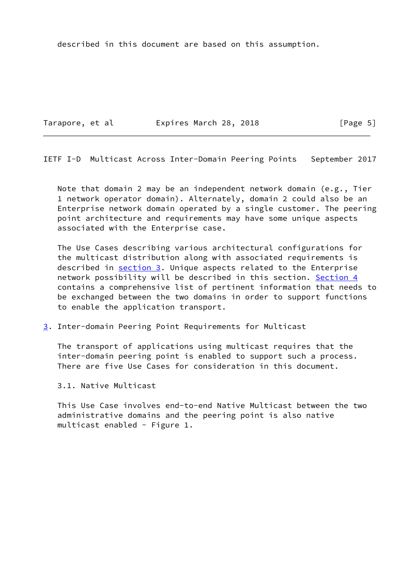described in this document are based on this assumption.

Tarapore, et al expires March 28, 2018 [Page 5]

<span id="page-5-1"></span>IETF I-D Multicast Across Inter-Domain Peering Points September 2017

Note that domain 2 may be an independent network domain (e.g., Tier 1 network operator domain). Alternately, domain 2 could also be an Enterprise network domain operated by a single customer. The peering point architecture and requirements may have some unique aspects associated with the Enterprise case.

 The Use Cases describing various architectural configurations for the multicast distribution along with associated requirements is described in [section 3](#page-5-0). Unique aspects related to the Enterprise network possibility will be described in this section. [Section 4](#page-15-0) contains a comprehensive list of pertinent information that needs to be exchanged between the two domains in order to support functions to enable the application transport.

<span id="page-5-0"></span>[3](#page-5-0). Inter-domain Peering Point Requirements for Multicast

 The transport of applications using multicast requires that the inter-domain peering point is enabled to support such a process. There are five Use Cases for consideration in this document.

3.1. Native Multicast

 This Use Case involves end-to-end Native Multicast between the two administrative domains and the peering point is also native multicast enabled - Figure 1.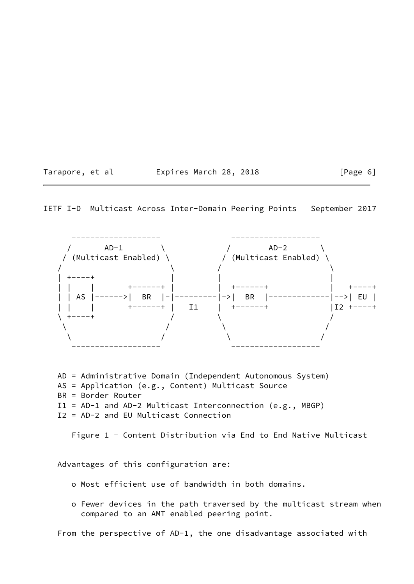Tarapore, et al **Expires March 28, 2018** [Page 6]

IETF I-D Multicast Across Inter-Domain Peering Points September 2017



 AD = Administrative Domain (Independent Autonomous System) AS = Application (e.g., Content) Multicast Source BR = Border Router I1 = AD-1 and AD-2 Multicast Interconnection (e.g., MBGP) I2 = AD-2 and EU Multicast Connection

Figure 1 - Content Distribution via End to End Native Multicast

Advantages of this configuration are:

- o Most efficient use of bandwidth in both domains.
- o Fewer devices in the path traversed by the multicast stream when compared to an AMT enabled peering point.

From the perspective of AD-1, the one disadvantage associated with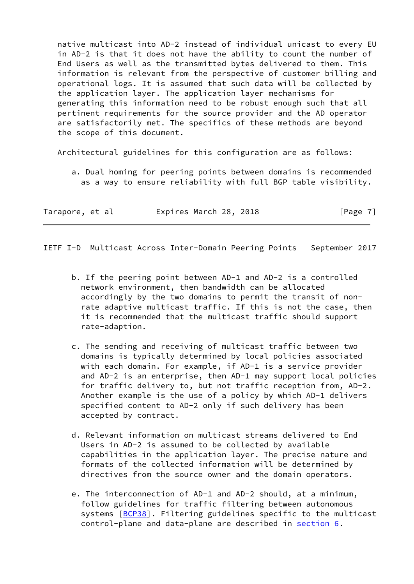native multicast into AD-2 instead of individual unicast to every EU in AD-2 is that it does not have the ability to count the number of End Users as well as the transmitted bytes delivered to them. This information is relevant from the perspective of customer billing and operational logs. It is assumed that such data will be collected by the application layer. The application layer mechanisms for generating this information need to be robust enough such that all pertinent requirements for the source provider and the AD operator are satisfactorily met. The specifics of these methods are beyond the scope of this document.

Architectural guidelines for this configuration are as follows:

 a. Dual homing for peering points between domains is recommended as a way to ensure reliability with full BGP table visibility.

| Tarapore, et al | Expires March 28, 2018 | [Page 7] |
|-----------------|------------------------|----------|
|-----------------|------------------------|----------|

<span id="page-7-0"></span>IETF I-D Multicast Across Inter-Domain Peering Points September 2017

- b. If the peering point between AD-1 and AD-2 is a controlled network environment, then bandwidth can be allocated accordingly by the two domains to permit the transit of non rate adaptive multicast traffic. If this is not the case, then it is recommended that the multicast traffic should support rate-adaption.
- c. The sending and receiving of multicast traffic between two domains is typically determined by local policies associated with each domain. For example, if AD-1 is a service provider and AD-2 is an enterprise, then AD-1 may support local policies for traffic delivery to, but not traffic reception from, AD-2. Another example is the use of a policy by which AD-1 delivers specified content to AD-2 only if such delivery has been accepted by contract.
- d. Relevant information on multicast streams delivered to End Users in AD-2 is assumed to be collected by available capabilities in the application layer. The precise nature and formats of the collected information will be determined by directives from the source owner and the domain operators.
- e. The interconnection of AD-1 and AD-2 should, at a minimum, follow guidelines for traffic filtering between autonomous systems [\[BCP38\]](#page-29-1). Filtering guidelines specific to the multicast control-plane and data-plane are described in [section 6.](#page-27-0)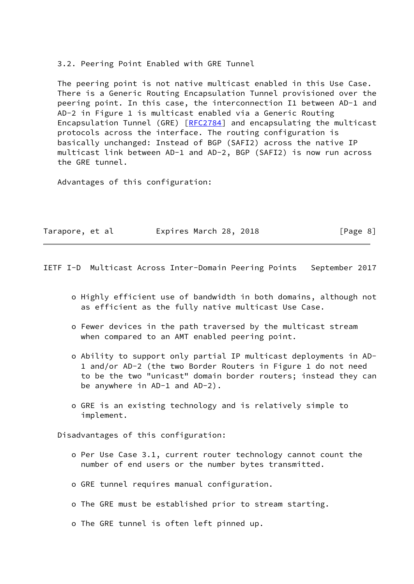3.2. Peering Point Enabled with GRE Tunnel

 The peering point is not native multicast enabled in this Use Case. There is a Generic Routing Encapsulation Tunnel provisioned over the peering point. In this case, the interconnection I1 between AD-1 and AD-2 in Figure 1 is multicast enabled via a Generic Routing Encapsulation Tunnel (GRE) [[RFC2784\]](https://datatracker.ietf.org/doc/pdf/rfc2784) and encapsulating the multicast protocols across the interface. The routing configuration is basically unchanged: Instead of BGP (SAFI2) across the native IP multicast link between AD-1 and AD-2, BGP (SAFI2) is now run across the GRE tunnel.

Advantages of this configuration:

| Tarapore, et al | Expires March 28, 2018 | [Page 8] |
|-----------------|------------------------|----------|
|-----------------|------------------------|----------|

<span id="page-8-0"></span>IETF I-D Multicast Across Inter-Domain Peering Points September 2017

- o Highly efficient use of bandwidth in both domains, although not as efficient as the fully native multicast Use Case.
- o Fewer devices in the path traversed by the multicast stream when compared to an AMT enabled peering point.
- o Ability to support only partial IP multicast deployments in AD- 1 and/or AD-2 (the two Border Routers in Figure 1 do not need to be the two "unicast" domain border routers; instead they can be anywhere in AD-1 and AD-2).
- o GRE is an existing technology and is relatively simple to implement.

Disadvantages of this configuration:

- o Per Use Case 3.1, current router technology cannot count the number of end users or the number bytes transmitted.
- o GRE tunnel requires manual configuration.
- o The GRE must be established prior to stream starting.
- o The GRE tunnel is often left pinned up.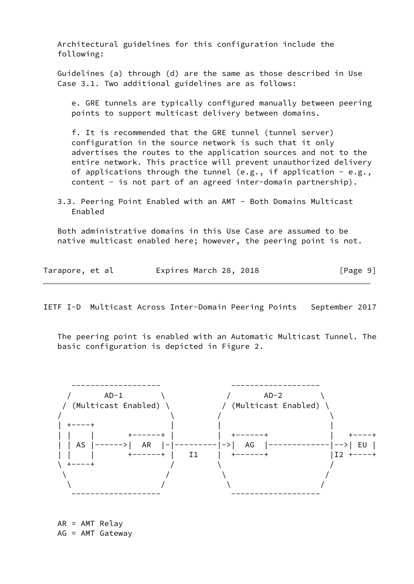Architectural guidelines for this configuration include the following:

 Guidelines (a) through (d) are the same as those described in Use Case 3.1. Two additional guidelines are as follows:

 e. GRE tunnels are typically configured manually between peering points to support multicast delivery between domains.

 f. It is recommended that the GRE tunnel (tunnel server) configuration in the source network is such that it only advertises the routes to the application sources and not to the entire network. This practice will prevent unauthorized delivery of applications through the tunnel (e.g., if application - e.g., content - is not part of an agreed inter-domain partnership).

 3.3. Peering Point Enabled with an AMT - Both Domains Multicast Enabled

 Both administrative domains in this Use Case are assumed to be native multicast enabled here; however, the peering point is not.

| Tarapore, et al | Expires March 28, 2018 | [Page 9] |
|-----------------|------------------------|----------|
|-----------------|------------------------|----------|

IETF I-D Multicast Across Inter-Domain Peering Points September 2017

 The peering point is enabled with an Automatic Multicast Tunnel. The basic configuration is depicted in Figure 2.



 AR = AMT Relay AG = AMT Gateway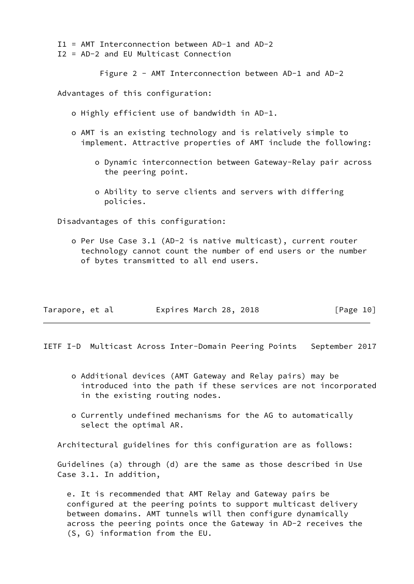I1 = AMT Interconnection between AD-1 and AD-2

I2 = AD-2 and EU Multicast Connection

Figure 2 - AMT Interconnection between AD-1 and AD-2

Advantages of this configuration:

- o Highly efficient use of bandwidth in AD-1.
- o AMT is an existing technology and is relatively simple to implement. Attractive properties of AMT include the following:
	- o Dynamic interconnection between Gateway-Relay pair across the peering point.
	- o Ability to serve clients and servers with differing policies.

Disadvantages of this configuration:

 o Per Use Case 3.1 (AD-2 is native multicast), current router technology cannot count the number of end users or the number of bytes transmitted to all end users.

| Tarapore, et al | Expires March 28, 2018 | [Page 10] |
|-----------------|------------------------|-----------|
|-----------------|------------------------|-----------|

<span id="page-10-0"></span>IETF I-D Multicast Across Inter-Domain Peering Points September 2017

- o Additional devices (AMT Gateway and Relay pairs) may be introduced into the path if these services are not incorporated in the existing routing nodes.
- o Currently undefined mechanisms for the AG to automatically select the optimal AR.

Architectural guidelines for this configuration are as follows:

 Guidelines (a) through (d) are the same as those described in Use Case 3.1. In addition,

 e. It is recommended that AMT Relay and Gateway pairs be configured at the peering points to support multicast delivery between domains. AMT tunnels will then configure dynamically across the peering points once the Gateway in AD-2 receives the (S, G) information from the EU.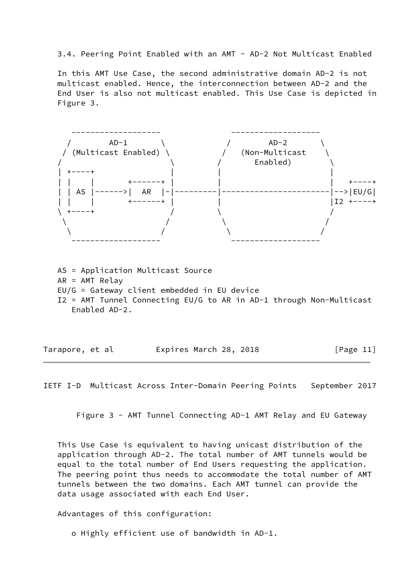3.4. Peering Point Enabled with an AMT - AD-2 Not Multicast Enabled

 In this AMT Use Case, the second administrative domain AD-2 is not multicast enabled. Hence, the interconnection between AD-2 and the End User is also not multicast enabled. This Use Case is depicted in Figure 3.



 AS = Application Multicast Source AR = AMT Relay EU/G = Gateway client embedded in EU device I2 = AMT Tunnel Connecting EU/G to AR in AD-1 through Non-Multicast Enabled AD-2.

| Tarapore, et al | Expires March 28, 2018 | [Page 11] |
|-----------------|------------------------|-----------|
|-----------------|------------------------|-----------|

IETF I-D Multicast Across Inter-Domain Peering Points September 2017

Figure 3 - AMT Tunnel Connecting AD-1 AMT Relay and EU Gateway

 This Use Case is equivalent to having unicast distribution of the application through AD-2. The total number of AMT tunnels would be equal to the total number of End Users requesting the application. The peering point thus needs to accommodate the total number of AMT tunnels between the two domains. Each AMT tunnel can provide the data usage associated with each End User.

Advantages of this configuration:

o Highly efficient use of bandwidth in AD-1.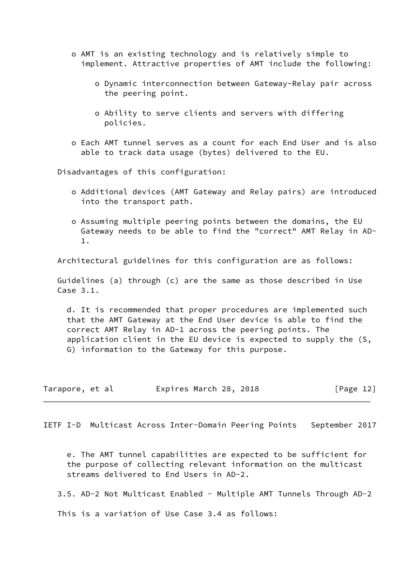- o AMT is an existing technology and is relatively simple to implement. Attractive properties of AMT include the following:
	- o Dynamic interconnection between Gateway-Relay pair across the peering point.
	- o Ability to serve clients and servers with differing policies.
- o Each AMT tunnel serves as a count for each End User and is also able to track data usage (bytes) delivered to the EU.

Disadvantages of this configuration:

- o Additional devices (AMT Gateway and Relay pairs) are introduced into the transport path.
- o Assuming multiple peering points between the domains, the EU Gateway needs to be able to find the "correct" AMT Relay in AD- 1.

Architectural guidelines for this configuration are as follows:

 Guidelines (a) through (c) are the same as those described in Use Case 3.1.

 d. It is recommended that proper procedures are implemented such that the AMT Gateway at the End User device is able to find the correct AMT Relay in AD-1 across the peering points. The application client in the EU device is expected to supply the (S, G) information to the Gateway for this purpose.

| Tarapore, et al |  |  | Expires March 28, 2018 |  |  |  | [Page 12] |  |
|-----------------|--|--|------------------------|--|--|--|-----------|--|
|-----------------|--|--|------------------------|--|--|--|-----------|--|

<span id="page-12-0"></span>IETF I-D Multicast Across Inter-Domain Peering Points September 2017

 e. The AMT tunnel capabilities are expected to be sufficient for the purpose of collecting relevant information on the multicast streams delivered to End Users in AD-2.

3.5. AD-2 Not Multicast Enabled - Multiple AMT Tunnels Through AD-2

This is a variation of Use Case 3.4 as follows: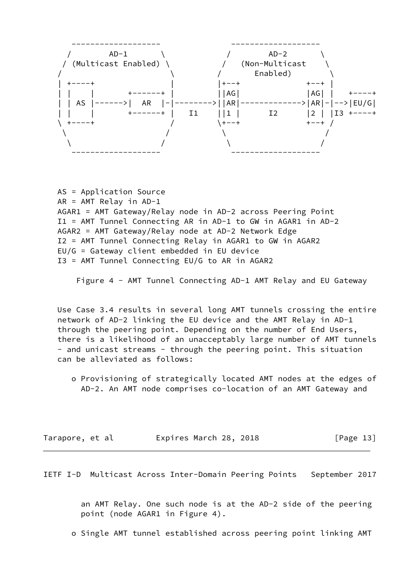

 AS = Application Source AR = AMT Relay in AD-1 AGAR1 = AMT Gateway/Relay node in AD-2 across Peering Point I1 = AMT Tunnel Connecting AR in AD-1 to GW in AGAR1 in AD-2 AGAR2 = AMT Gateway/Relay node at AD-2 Network Edge I2 = AMT Tunnel Connecting Relay in AGAR1 to GW in AGAR2 EU/G = Gateway client embedded in EU device I3 = AMT Tunnel Connecting EU/G to AR in AGAR2

Figure 4 - AMT Tunnel Connecting AD-1 AMT Relay and EU Gateway

 Use Case 3.4 results in several long AMT tunnels crossing the entire network of AD-2 linking the EU device and the AMT Relay in AD-1 through the peering point. Depending on the number of End Users, there is a likelihood of an unacceptably large number of AMT tunnels - and unicast streams - through the peering point. This situation can be alleviated as follows:

 o Provisioning of strategically located AMT nodes at the edges of AD-2. An AMT node comprises co-location of an AMT Gateway and

| Tarapore, et al | Expires March 28, 2018 |  | [Page 13] |
|-----------------|------------------------|--|-----------|
|-----------------|------------------------|--|-----------|

IETF I-D Multicast Across Inter-Domain Peering Points September 2017

 an AMT Relay. One such node is at the AD-2 side of the peering point (node AGAR1 in Figure 4).

o Single AMT tunnel established across peering point linking AMT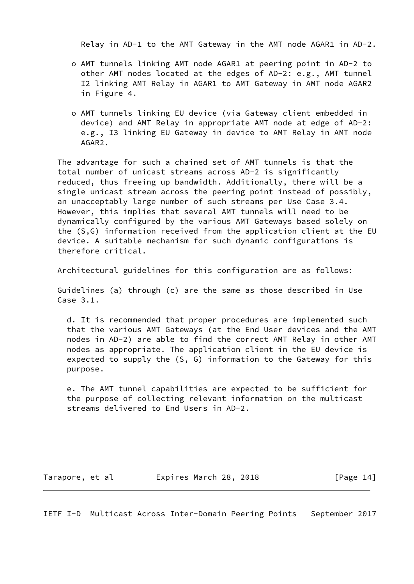Relay in AD-1 to the AMT Gateway in the AMT node AGAR1 in AD-2.

- o AMT tunnels linking AMT node AGAR1 at peering point in AD-2 to other AMT nodes located at the edges of AD-2: e.g., AMT tunnel I2 linking AMT Relay in AGAR1 to AMT Gateway in AMT node AGAR2 in Figure 4.
- o AMT tunnels linking EU device (via Gateway client embedded in device) and AMT Relay in appropriate AMT node at edge of AD-2: e.g., I3 linking EU Gateway in device to AMT Relay in AMT node AGAR2.

 The advantage for such a chained set of AMT tunnels is that the total number of unicast streams across AD-2 is significantly reduced, thus freeing up bandwidth. Additionally, there will be a single unicast stream across the peering point instead of possibly, an unacceptably large number of such streams per Use Case 3.4. However, this implies that several AMT tunnels will need to be dynamically configured by the various AMT Gateways based solely on the (S,G) information received from the application client at the EU device. A suitable mechanism for such dynamic configurations is therefore critical.

Architectural guidelines for this configuration are as follows:

 Guidelines (a) through (c) are the same as those described in Use Case 3.1.

 d. It is recommended that proper procedures are implemented such that the various AMT Gateways (at the End User devices and the AMT nodes in AD-2) are able to find the correct AMT Relay in other AMT nodes as appropriate. The application client in the EU device is expected to supply the (S, G) information to the Gateway for this purpose.

 e. The AMT tunnel capabilities are expected to be sufficient for the purpose of collecting relevant information on the multicast streams delivered to End Users in AD-2.

Tarapore, et al expires March 28, 2018 [Page 14]

<span id="page-14-0"></span>IETF I-D Multicast Across Inter-Domain Peering Points September 2017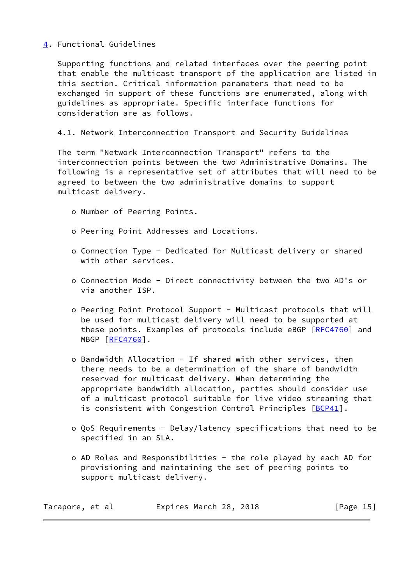# <span id="page-15-0"></span>[4](#page-15-0). Functional Guidelines

 Supporting functions and related interfaces over the peering point that enable the multicast transport of the application are listed in this section. Critical information parameters that need to be exchanged in support of these functions are enumerated, along with guidelines as appropriate. Specific interface functions for consideration are as follows.

# 4.1. Network Interconnection Transport and Security Guidelines

 The term "Network Interconnection Transport" refers to the interconnection points between the two Administrative Domains. The following is a representative set of attributes that will need to be agreed to between the two administrative domains to support multicast delivery.

- o Number of Peering Points.
- o Peering Point Addresses and Locations.
- o Connection Type Dedicated for Multicast delivery or shared with other services.
- o Connection Mode Direct connectivity between the two AD's or via another ISP.
- o Peering Point Protocol Support Multicast protocols that will be used for multicast delivery will need to be supported at these points. Examples of protocols include eBGP [[RFC4760](https://datatracker.ietf.org/doc/pdf/rfc4760)] and MBGP [[RFC4760](https://datatracker.ietf.org/doc/pdf/rfc4760)].
- o Bandwidth Allocation If shared with other services, then there needs to be a determination of the share of bandwidth reserved for multicast delivery. When determining the appropriate bandwidth allocation, parties should consider use of a multicast protocol suitable for live video streaming that is consistent with Congestion Control Principles [[BCP41\]](#page-29-2).
- o QoS Requirements Delay/latency specifications that need to be specified in an SLA.
- o AD Roles and Responsibilities the role played by each AD for provisioning and maintaining the set of peering points to support multicast delivery.

| Tarapore, et al | Expires March 28, 2018 | [Page $15$ ] |
|-----------------|------------------------|--------------|
|-----------------|------------------------|--------------|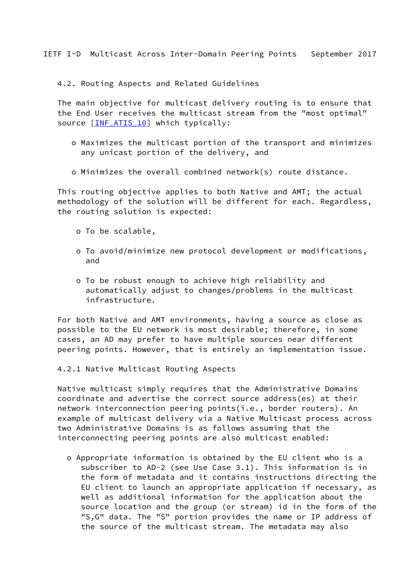<span id="page-16-0"></span>4.2. Routing Aspects and Related Guidelines

The main objective for multicast delivery routing is to ensure that the End User receives the multicast stream from the "most optimal" source [\[INF\\_ATIS\\_10](#page-29-3)] which typically:

- o Maximizes the multicast portion of the transport and minimizes any unicast portion of the delivery, and
- o Minimizes the overall combined network(s) route distance.

 This routing objective applies to both Native and AMT; the actual methodology of the solution will be different for each. Regardless, the routing solution is expected:

- o To be scalable,
- o To avoid/minimize new protocol development or modifications, and
- o To be robust enough to achieve high reliability and automatically adjust to changes/problems in the multicast infrastructure.

 For both Native and AMT environments, having a source as close as possible to the EU network is most desirable; therefore, in some cases, an AD may prefer to have multiple sources near different peering points. However, that is entirely an implementation issue.

4.2.1 Native Multicast Routing Aspects

 Native multicast simply requires that the Administrative Domains coordinate and advertise the correct source address(es) at their network interconnection peering points(i.e., border routers). An example of multicast delivery via a Native Multicast process across two Administrative Domains is as follows assuming that the interconnecting peering points are also multicast enabled:

 o Appropriate information is obtained by the EU client who is a subscriber to AD-2 (see Use Case 3.1). This information is in the form of metadata and it contains instructions directing the EU client to launch an appropriate application if necessary, as well as additional information for the application about the source location and the group (or stream) id in the form of the "S,G" data. The "S" portion provides the name or IP address of the source of the multicast stream. The metadata may also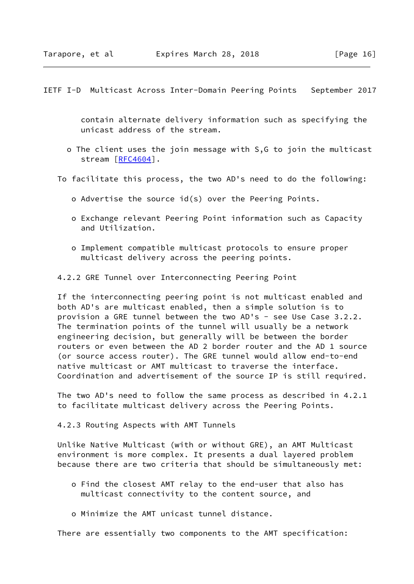<span id="page-17-0"></span> contain alternate delivery information such as specifying the unicast address of the stream.

- o The client uses the join message with S,G to join the multicast stream [\[RFC4604](https://datatracker.ietf.org/doc/pdf/rfc4604)].
- To facilitate this process, the two AD's need to do the following:
	- o Advertise the source id(s) over the Peering Points.
	- o Exchange relevant Peering Point information such as Capacity and Utilization.
	- o Implement compatible multicast protocols to ensure proper multicast delivery across the peering points.

4.2.2 GRE Tunnel over Interconnecting Peering Point

 If the interconnecting peering point is not multicast enabled and both AD's are multicast enabled, then a simple solution is to provision a GRE tunnel between the two AD's - see Use Case 3.2.2. The termination points of the tunnel will usually be a network engineering decision, but generally will be between the border routers or even between the AD 2 border router and the AD 1 source (or source access router). The GRE tunnel would allow end-to-end native multicast or AMT multicast to traverse the interface. Coordination and advertisement of the source IP is still required.

 The two AD's need to follow the same process as described in 4.2.1 to facilitate multicast delivery across the Peering Points.

4.2.3 Routing Aspects with AMT Tunnels

 Unlike Native Multicast (with or without GRE), an AMT Multicast environment is more complex. It presents a dual layered problem because there are two criteria that should be simultaneously met:

- o Find the closest AMT relay to the end-user that also has multicast connectivity to the content source, and
- o Minimize the AMT unicast tunnel distance.

There are essentially two components to the AMT specification: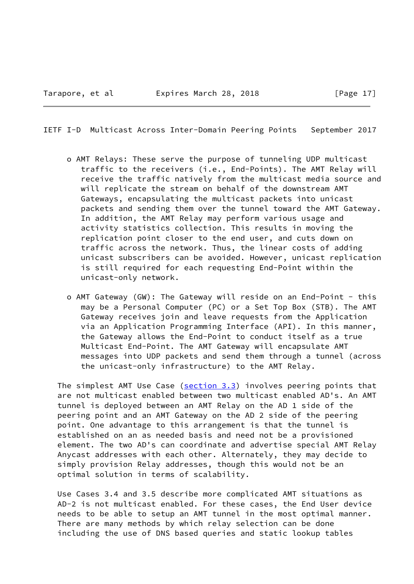- o AMT Relays: These serve the purpose of tunneling UDP multicast traffic to the receivers (i.e., End-Points). The AMT Relay will receive the traffic natively from the multicast media source and will replicate the stream on behalf of the downstream AMT Gateways, encapsulating the multicast packets into unicast packets and sending them over the tunnel toward the AMT Gateway. In addition, the AMT Relay may perform various usage and activity statistics collection. This results in moving the replication point closer to the end user, and cuts down on traffic across the network. Thus, the linear costs of adding unicast subscribers can be avoided. However, unicast replication is still required for each requesting End-Point within the unicast-only network.
- o AMT Gateway (GW): The Gateway will reside on an End-Point this may be a Personal Computer (PC) or a Set Top Box (STB). The AMT Gateway receives join and leave requests from the Application via an Application Programming Interface (API). In this manner, the Gateway allows the End-Point to conduct itself as a true Multicast End-Point. The AMT Gateway will encapsulate AMT messages into UDP packets and send them through a tunnel (across the unicast-only infrastructure) to the AMT Relay.

The simplest AMT Use Case ( $section 3.3$ ) involves peering points that are not multicast enabled between two multicast enabled AD's. An AMT tunnel is deployed between an AMT Relay on the AD 1 side of the peering point and an AMT Gateway on the AD 2 side of the peering point. One advantage to this arrangement is that the tunnel is established on an as needed basis and need not be a provisioned element. The two AD's can coordinate and advertise special AMT Relay Anycast addresses with each other. Alternately, they may decide to simply provision Relay addresses, though this would not be an optimal solution in terms of scalability.

 Use Cases 3.4 and 3.5 describe more complicated AMT situations as AD-2 is not multicast enabled. For these cases, the End User device needs to be able to setup an AMT tunnel in the most optimal manner. There are many methods by which relay selection can be done including the use of DNS based queries and static lookup tables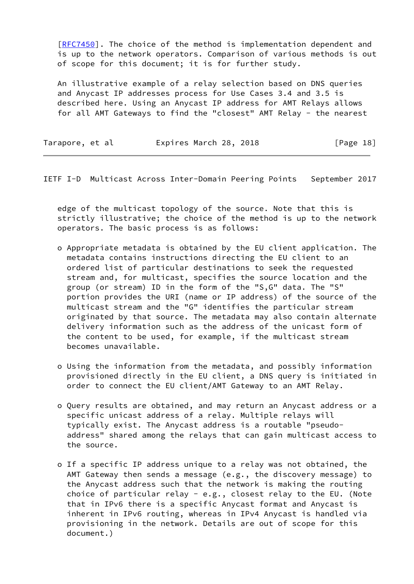[\[RFC7450](https://datatracker.ietf.org/doc/pdf/rfc7450)]. The choice of the method is implementation dependent and is up to the network operators. Comparison of various methods is out of scope for this document; it is for further study.

 An illustrative example of a relay selection based on DNS queries and Anycast IP addresses process for Use Cases 3.4 and 3.5 is described here. Using an Anycast IP address for AMT Relays allows for all AMT Gateways to find the "closest" AMT Relay - the nearest

| Tarapore, et al | Expires March 28, 2018 | [Page 18] |
|-----------------|------------------------|-----------|
|-----------------|------------------------|-----------|

IETF I-D Multicast Across Inter-Domain Peering Points September 2017

 edge of the multicast topology of the source. Note that this is strictly illustrative; the choice of the method is up to the network operators. The basic process is as follows:

- o Appropriate metadata is obtained by the EU client application. The metadata contains instructions directing the EU client to an ordered list of particular destinations to seek the requested stream and, for multicast, specifies the source location and the group (or stream) ID in the form of the "S,G" data. The "S" portion provides the URI (name or IP address) of the source of the multicast stream and the "G" identifies the particular stream originated by that source. The metadata may also contain alternate delivery information such as the address of the unicast form of the content to be used, for example, if the multicast stream becomes unavailable.
- o Using the information from the metadata, and possibly information provisioned directly in the EU client, a DNS query is initiated in order to connect the EU client/AMT Gateway to an AMT Relay.
- o Query results are obtained, and may return an Anycast address or a specific unicast address of a relay. Multiple relays will typically exist. The Anycast address is a routable "pseudo address" shared among the relays that can gain multicast access to the source.
- o If a specific IP address unique to a relay was not obtained, the AMT Gateway then sends a message (e.g., the discovery message) to the Anycast address such that the network is making the routing choice of particular relay - e.g., closest relay to the EU. (Note that in IPv6 there is a specific Anycast format and Anycast is inherent in IPv6 routing, whereas in IPv4 Anycast is handled via provisioning in the network. Details are out of scope for this document.)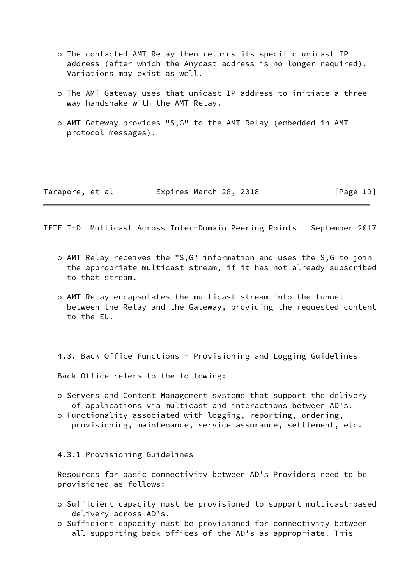- o The contacted AMT Relay then returns its specific unicast IP address (after which the Anycast address is no longer required). Variations may exist as well.
- o The AMT Gateway uses that unicast IP address to initiate a three way handshake with the AMT Relay.
- o AMT Gateway provides "S,G" to the AMT Relay (embedded in AMT protocol messages).

<span id="page-20-0"></span>

| Tarapore, et al | Expires March 28, 2018 | [Page 19] |
|-----------------|------------------------|-----------|
|-----------------|------------------------|-----------|

- o AMT Relay receives the "S,G" information and uses the S,G to join the appropriate multicast stream, if it has not already subscribed to that stream.
- o AMT Relay encapsulates the multicast stream into the tunnel between the Relay and the Gateway, providing the requested content to the EU.

4.3. Back Office Functions - Provisioning and Logging Guidelines

Back Office refers to the following:

- o Servers and Content Management systems that support the delivery of applications via multicast and interactions between AD's.
- o Functionality associated with logging, reporting, ordering, provisioning, maintenance, service assurance, settlement, etc.

4.3.1 Provisioning Guidelines

 Resources for basic connectivity between AD's Providers need to be provisioned as follows:

- o Sufficient capacity must be provisioned to support multicast-based delivery across AD's.
- o Sufficient capacity must be provisioned for connectivity between all supporting back-offices of the AD's as appropriate. This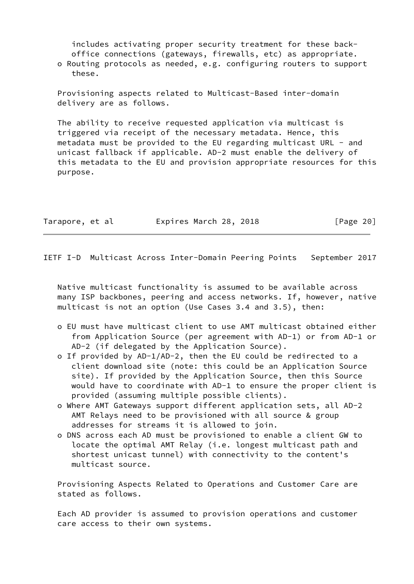includes activating proper security treatment for these back office connections (gateways, firewalls, etc) as appropriate. o Routing protocols as needed, e.g. configuring routers to support

these.

 Provisioning aspects related to Multicast-Based inter-domain delivery are as follows.

 The ability to receive requested application via multicast is triggered via receipt of the necessary metadata. Hence, this metadata must be provided to the EU regarding multicast URL - and unicast fallback if applicable. AD-2 must enable the delivery of this metadata to the EU and provision appropriate resources for this purpose.

| Tarapore, et al | Expires March 28, 2018 | [Page 20] |
|-----------------|------------------------|-----------|
|                 |                        |           |

IETF I-D Multicast Across Inter-Domain Peering Points September 2017

 Native multicast functionality is assumed to be available across many ISP backbones, peering and access networks. If, however, native multicast is not an option (Use Cases 3.4 and 3.5), then:

- o EU must have multicast client to use AMT multicast obtained either from Application Source (per agreement with AD-1) or from AD-1 or AD-2 (if delegated by the Application Source).
- o If provided by AD-1/AD-2, then the EU could be redirected to a client download site (note: this could be an Application Source site). If provided by the Application Source, then this Source would have to coordinate with AD-1 to ensure the proper client is provided (assuming multiple possible clients).
- o Where AMT Gateways support different application sets, all AD-2 AMT Relays need to be provisioned with all source & group addresses for streams it is allowed to join.
- o DNS across each AD must be provisioned to enable a client GW to locate the optimal AMT Relay (i.e. longest multicast path and shortest unicast tunnel) with connectivity to the content's multicast source.

 Provisioning Aspects Related to Operations and Customer Care are stated as follows.

 Each AD provider is assumed to provision operations and customer care access to their own systems.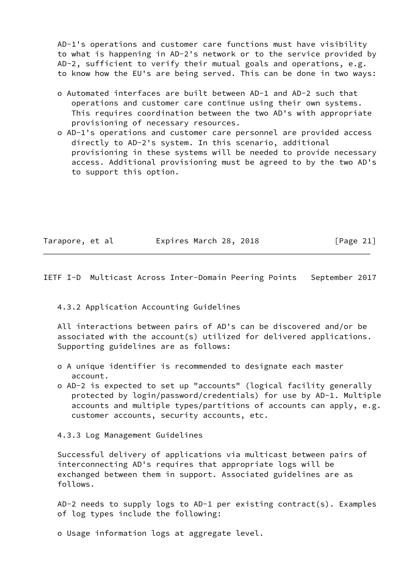AD-1's operations and customer care functions must have visibility to what is happening in AD-2's network or to the service provided by AD-2, sufficient to verify their mutual goals and operations, e.g. to know how the EU's are being served. This can be done in two ways:

- o Automated interfaces are built between AD-1 and AD-2 such that operations and customer care continue using their own systems. This requires coordination between the two AD's with appropriate provisioning of necessary resources.
- o AD-1's operations and customer care personnel are provided access directly to AD-2's system. In this scenario, additional provisioning in these systems will be needed to provide necessary access. Additional provisioning must be agreed to by the two AD's to support this option.

| Tarapore, et al | Expires March 28, 2018 | [Page $21$ ] |
|-----------------|------------------------|--------------|
|-----------------|------------------------|--------------|

<span id="page-22-0"></span>IETF I-D Multicast Across Inter-Domain Peering Points September 2017

4.3.2 Application Accounting Guidelines

 All interactions between pairs of AD's can be discovered and/or be associated with the account(s) utilized for delivered applications. Supporting guidelines are as follows:

- o A unique identifier is recommended to designate each master account.
- o AD-2 is expected to set up "accounts" (logical facility generally protected by login/password/credentials) for use by AD-1. Multiple accounts and multiple types/partitions of accounts can apply, e.g. customer accounts, security accounts, etc.

4.3.3 Log Management Guidelines

 Successful delivery of applications via multicast between pairs of interconnecting AD's requires that appropriate logs will be exchanged between them in support. Associated guidelines are as follows.

 AD-2 needs to supply logs to AD-1 per existing contract(s). Examples of log types include the following:

o Usage information logs at aggregate level.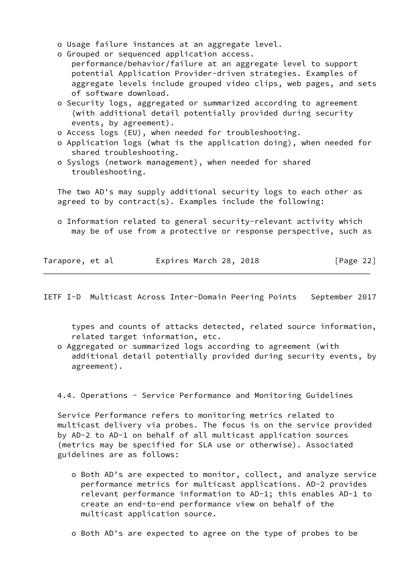- o Usage failure instances at an aggregate level.
- o Grouped or sequenced application access. performance/behavior/failure at an aggregate level to support potential Application Provider-driven strategies. Examples of aggregate levels include grouped video clips, web pages, and sets of software download.
- o Security logs, aggregated or summarized according to agreement (with additional detail potentially provided during security events, by agreement).
- o Access logs (EU), when needed for troubleshooting.
- o Application logs (what is the application doing), when needed for shared troubleshooting.
- o Syslogs (network management), when needed for shared troubleshooting.

 The two AD's may supply additional security logs to each other as agreed to by contract(s). Examples include the following:

 o Information related to general security-relevant activity which may be of use from a protective or response perspective, such as

| Tarapore, et al | Expires March 28, 2018 |  | [Page 22] |  |
|-----------------|------------------------|--|-----------|--|
|                 |                        |  |           |  |

IETF I-D Multicast Across Inter-Domain Peering Points September 2017

 types and counts of attacks detected, related source information, related target information, etc.

 o Aggregated or summarized logs according to agreement (with additional detail potentially provided during security events, by agreement).

4.4. Operations - Service Performance and Monitoring Guidelines

 Service Performance refers to monitoring metrics related to multicast delivery via probes. The focus is on the service provided by AD-2 to AD-1 on behalf of all multicast application sources (metrics may be specified for SLA use or otherwise). Associated guidelines are as follows:

- o Both AD's are expected to monitor, collect, and analyze service performance metrics for multicast applications. AD-2 provides relevant performance information to AD-1; this enables AD-1 to create an end-to-end performance view on behalf of the multicast application source.
- o Both AD's are expected to agree on the type of probes to be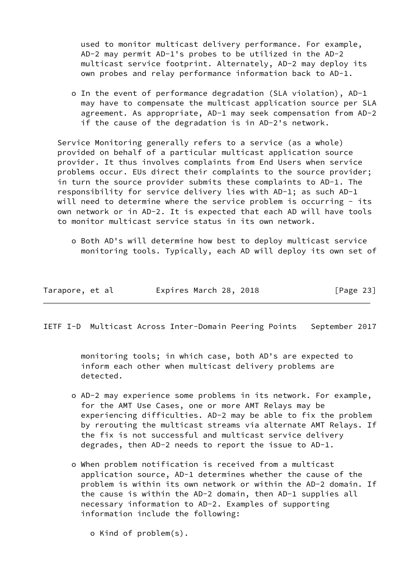used to monitor multicast delivery performance. For example, AD-2 may permit AD-1's probes to be utilized in the AD-2 multicast service footprint. Alternately, AD-2 may deploy its own probes and relay performance information back to AD-1.

 o In the event of performance degradation (SLA violation), AD-1 may have to compensate the multicast application source per SLA agreement. As appropriate, AD-1 may seek compensation from AD-2 if the cause of the degradation is in AD-2's network.

 Service Monitoring generally refers to a service (as a whole) provided on behalf of a particular multicast application source provider. It thus involves complaints from End Users when service problems occur. EUs direct their complaints to the source provider; in turn the source provider submits these complaints to AD-1. The responsibility for service delivery lies with AD-1; as such AD-1 will need to determine where the service problem is occurring - its own network or in AD-2. It is expected that each AD will have tools to monitor multicast service status in its own network.

 o Both AD's will determine how best to deploy multicast service monitoring tools. Typically, each AD will deploy its own set of

| Tarapore, et al | Expires March 28, 2018 | [Page 23] |
|-----------------|------------------------|-----------|
|-----------------|------------------------|-----------|

IETF I-D Multicast Across Inter-Domain Peering Points September 2017

 monitoring tools; in which case, both AD's are expected to inform each other when multicast delivery problems are detected.

- o AD-2 may experience some problems in its network. For example, for the AMT Use Cases, one or more AMT Relays may be experiencing difficulties. AD-2 may be able to fix the problem by rerouting the multicast streams via alternate AMT Relays. If the fix is not successful and multicast service delivery degrades, then AD-2 needs to report the issue to AD-1.
- o When problem notification is received from a multicast application source, AD-1 determines whether the cause of the problem is within its own network or within the AD-2 domain. If the cause is within the AD-2 domain, then AD-1 supplies all necessary information to AD-2. Examples of supporting information include the following:
	- o Kind of problem(s).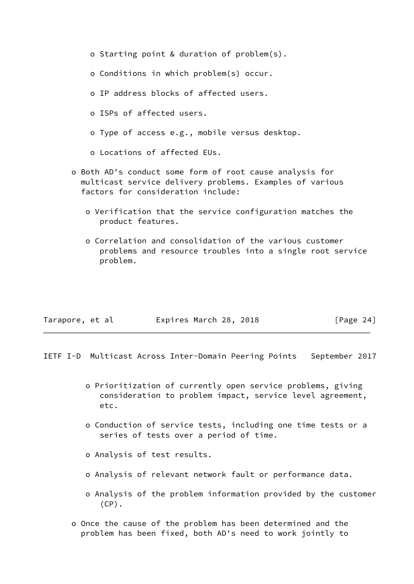- o Starting point & duration of problem(s). o Conditions in which problem(s) occur. o IP address blocks of affected users. o ISPs of affected users. o Type of access e.g., mobile versus desktop. o Locations of affected EUs. o Both AD's conduct some form of root cause analysis for multicast service delivery problems. Examples of various factors for consideration include: o Verification that the service configuration matches the product features.
	- o Correlation and consolidation of the various customer problems and resource troubles into a single root service problem.

<span id="page-25-0"></span>

| Tarapore, et al | Expires March 28, 2018 |  | [Page 24] |  |
|-----------------|------------------------|--|-----------|--|
|                 |                        |  |           |  |

- o Prioritization of currently open service problems, giving consideration to problem impact, service level agreement, etc.
- o Conduction of service tests, including one time tests or a series of tests over a period of time.
- o Analysis of test results.
- o Analysis of relevant network fault or performance data.
- o Analysis of the problem information provided by the customer  $(CP)$ .
- o Once the cause of the problem has been determined and the problem has been fixed, both AD's need to work jointly to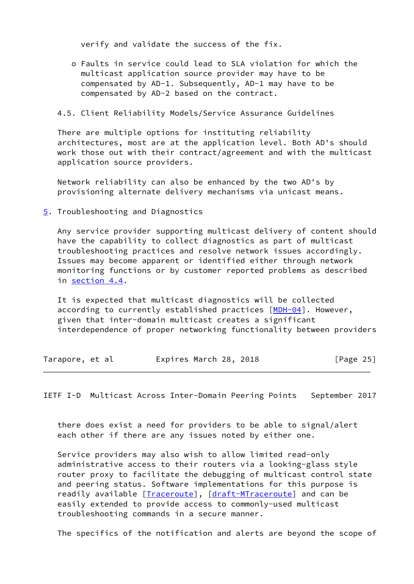verify and validate the success of the fix.

 o Faults in service could lead to SLA violation for which the multicast application source provider may have to be compensated by AD-1. Subsequently, AD-1 may have to be compensated by AD-2 based on the contract.

### 4.5. Client Reliability Models/Service Assurance Guidelines

 There are multiple options for instituting reliability architectures, most are at the application level. Both AD's should work those out with their contract/agreement and with the multicast application source providers.

 Network reliability can also be enhanced by the two AD's by provisioning alternate delivery mechanisms via unicast means.

### <span id="page-26-0"></span>[5](#page-26-0). Troubleshooting and Diagnostics

 Any service provider supporting multicast delivery of content should have the capability to collect diagnostics as part of multicast troubleshooting practices and resolve network issues accordingly. Issues may become apparent or identified either through network monitoring functions or by customer reported problems as described in section 4.4.

 It is expected that multicast diagnostics will be collected according to currently established practices [\[MDH-04](#page-30-1)]. However, given that inter-domain multicast creates a significant interdependence of proper networking functionality between providers

| Tarapore, et al | Expires March 28, 2018 | [Page $25$ ] |
|-----------------|------------------------|--------------|
|-----------------|------------------------|--------------|

<span id="page-26-1"></span>IETF I-D Multicast Across Inter-Domain Peering Points September 2017

 there does exist a need for providers to be able to signal/alert each other if there are any issues noted by either one.

 Service providers may also wish to allow limited read-only administrative access to their routers via a looking-glass style router proxy to facilitate the debugging of multicast control state and peering status. Software implementations for this purpose is readily available [[Traceroute\]](#page-30-2), [\[draft-MTraceroute](https://datatracker.ietf.org/doc/pdf/draft-MTraceroute)] and can be easily extended to provide access to commonly-used multicast troubleshooting commands in a secure manner.

The specifics of the notification and alerts are beyond the scope of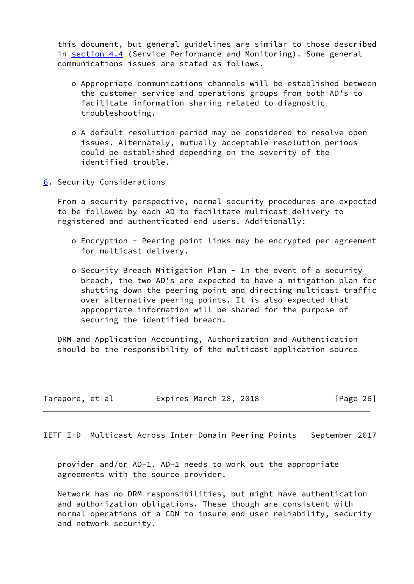this document, but general guidelines are similar to those described in section 4.4 (Service Performance and Monitoring). Some general communications issues are stated as follows.

- o Appropriate communications channels will be established between the customer service and operations groups from both AD's to facilitate information sharing related to diagnostic troubleshooting.
- o A default resolution period may be considered to resolve open issues. Alternately, mutually acceptable resolution periods could be established depending on the severity of the identified trouble.
- <span id="page-27-0"></span>[6](#page-27-0). Security Considerations

 From a security perspective, normal security procedures are expected to be followed by each AD to facilitate multicast delivery to registered and authenticated end users. Additionally:

- o Encryption Peering point links may be encrypted per agreement for multicast delivery.
- o Security Breach Mitigation Plan In the event of a security breach, the two AD's are expected to have a mitigation plan for shutting down the peering point and directing multicast traffic over alternative peering points. It is also expected that appropriate information will be shared for the purpose of securing the identified breach.

 DRM and Application Accounting, Authorization and Authentication should be the responsibility of the multicast application source

| Tarapore, et al | Expires March 28, 2018 |  | [Page 26] |
|-----------------|------------------------|--|-----------|
|-----------------|------------------------|--|-----------|

<span id="page-27-1"></span>IETF I-D Multicast Across Inter-Domain Peering Points September 2017

 provider and/or AD-1. AD-1 needs to work out the appropriate agreements with the source provider.

 Network has no DRM responsibilities, but might have authentication and authorization obligations. These though are consistent with normal operations of a CDN to insure end user reliability, security and network security.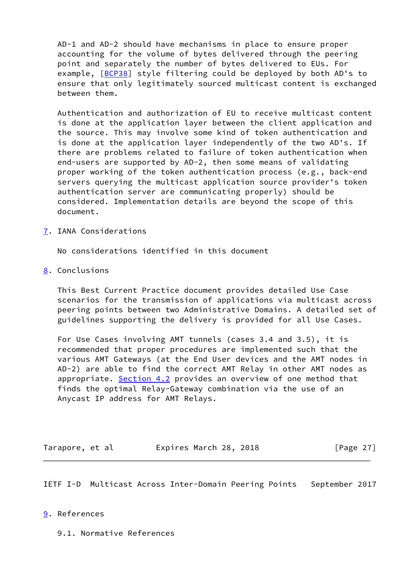AD-1 and AD-2 should have mechanisms in place to ensure proper accounting for the volume of bytes delivered through the peering point and separately the number of bytes delivered to EUs. For example, [\[BCP38\]](#page-29-1) style filtering could be deployed by both AD's to ensure that only legitimately sourced multicast content is exchanged between them.

 Authentication and authorization of EU to receive multicast content is done at the application layer between the client application and the source. This may involve some kind of token authentication and is done at the application layer independently of the two AD's. If there are problems related to failure of token authentication when end-users are supported by AD-2, then some means of validating proper working of the token authentication process (e.g., back-end servers querying the multicast application source provider's token authentication server are communicating properly) should be considered. Implementation details are beyond the scope of this document.

<span id="page-28-0"></span>[7](#page-28-0). IANA Considerations

No considerations identified in this document

<span id="page-28-1"></span>[8](#page-28-1). Conclusions

 This Best Current Practice document provides detailed Use Case scenarios for the transmission of applications via multicast across peering points between two Administrative Domains. A detailed set of guidelines supporting the delivery is provided for all Use Cases.

 For Use Cases involving AMT tunnels (cases 3.4 and 3.5), it is recommended that proper procedures are implemented such that the various AMT Gateways (at the End User devices and the AMT nodes in AD-2) are able to find the correct AMT Relay in other AMT nodes as appropriate. Section 4.2 provides an overview of one method that finds the optimal Relay-Gateway combination via the use of an Anycast IP address for AMT Relays.

| Tarapore, et al | Expires March 28, 2018 |  |  |  | [Page 27] |  |
|-----------------|------------------------|--|--|--|-----------|--|
|-----------------|------------------------|--|--|--|-----------|--|

<span id="page-28-3"></span>IETF I-D Multicast Across Inter-Domain Peering Points September 2017

## <span id="page-28-2"></span>[9](#page-28-2). References

9.1. Normative References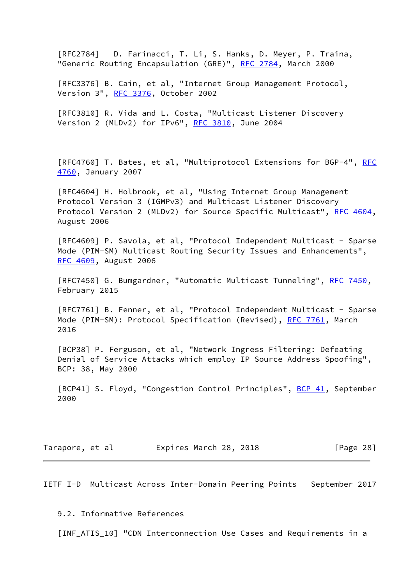[RFC2784] D. Farinacci, T. Li, S. Hanks, D. Meyer, P. Traina, "Generic Routing Encapsulation (GRE)", [RFC 2784,](https://datatracker.ietf.org/doc/pdf/rfc2784) March 2000

 [RFC3376] B. Cain, et al, "Internet Group Management Protocol, Version 3", [RFC 3376,](https://datatracker.ietf.org/doc/pdf/rfc3376) October 2002

 [RFC3810] R. Vida and L. Costa, "Multicast Listener Discovery Version 2 (MLDv2) for IPv6", [RFC 3810](https://datatracker.ietf.org/doc/pdf/rfc3810), June 2004

[RFC4760] T. Bates, et al, "Multiprotocol Extensions for BGP-4", [RFC](https://datatracker.ietf.org/doc/pdf/rfc4760) [4760](https://datatracker.ietf.org/doc/pdf/rfc4760), January 2007

 [RFC4604] H. Holbrook, et al, "Using Internet Group Management Protocol Version 3 (IGMPv3) and Multicast Listener Discovery Protocol Version 2 (MLDv2) for Source Specific Multicast", [RFC 4604,](https://datatracker.ietf.org/doc/pdf/rfc4604) August 2006

 [RFC4609] P. Savola, et al, "Protocol Independent Multicast - Sparse Mode (PIM-SM) Multicast Routing Security Issues and Enhancements", [RFC 4609](https://datatracker.ietf.org/doc/pdf/rfc4609), August 2006

[RFC7450] G. Bumgardner, "Automatic Multicast Tunneling", [RFC 7450](https://datatracker.ietf.org/doc/pdf/rfc7450), February 2015

 [RFC7761] B. Fenner, et al, "Protocol Independent Multicast - Sparse Mode (PIM-SM): Protocol Specification (Revised), [RFC 7761](https://datatracker.ietf.org/doc/pdf/rfc7761), March 2016

<span id="page-29-1"></span> [BCP38] P. Ferguson, et al, "Network Ingress Filtering: Defeating Denial of Service Attacks which employ IP Source Address Spoofing", BCP: 38, May 2000

<span id="page-29-2"></span>[BCP41] S. Floyd, "Congestion Control Principles", [BCP 41](https://datatracker.ietf.org/doc/pdf/bcp41), September 2000

Tarapore, et al expires March 28, 2018 [Page 28]

<span id="page-29-0"></span>IETF I-D Multicast Across Inter-Domain Peering Points September 2017

9.2. Informative References

<span id="page-29-3"></span>[INF\_ATIS\_10] "CDN Interconnection Use Cases and Requirements in a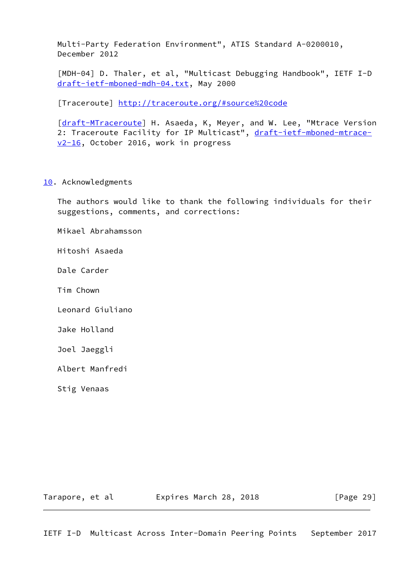Multi-Party Federation Environment", ATIS Standard A-0200010, December 2012

<span id="page-30-1"></span> [MDH-04] D. Thaler, et al, "Multicast Debugging Handbook", IETF I-D [draft-ietf-mboned-mdh-04.txt](https://datatracker.ietf.org/doc/pdf/draft-ietf-mboned-mdh-04.txt), May 2000

<span id="page-30-2"></span>[Traceroute]<http://traceroute.org/#source%20code>

[\[draft-MTraceroute](https://datatracker.ietf.org/doc/pdf/draft-MTraceroute)] H. Asaeda, K, Meyer, and W. Lee, "Mtrace Version 2: Traceroute Facility for IP Multicast", [draft-ietf-mboned-mtrace](https://datatracker.ietf.org/doc/pdf/draft-ietf-mboned-mtrace-v2-16) [v2-16](https://datatracker.ietf.org/doc/pdf/draft-ietf-mboned-mtrace-v2-16), October 2016, work in progress

### <span id="page-30-0"></span>[10.](#page-30-0) Acknowledgments

 The authors would like to thank the following individuals for their suggestions, comments, and corrections:

Mikael Abrahamsson

Hitoshi Asaeda

Dale Carder

Tim Chown

Leonard Giuliano

Jake Holland

Joel Jaeggli

Albert Manfredi

Stig Venaas

Tarapore, et al **Expires March 28, 2018** [Page 29]

IETF I-D Multicast Across Inter-Domain Peering Points September 2017